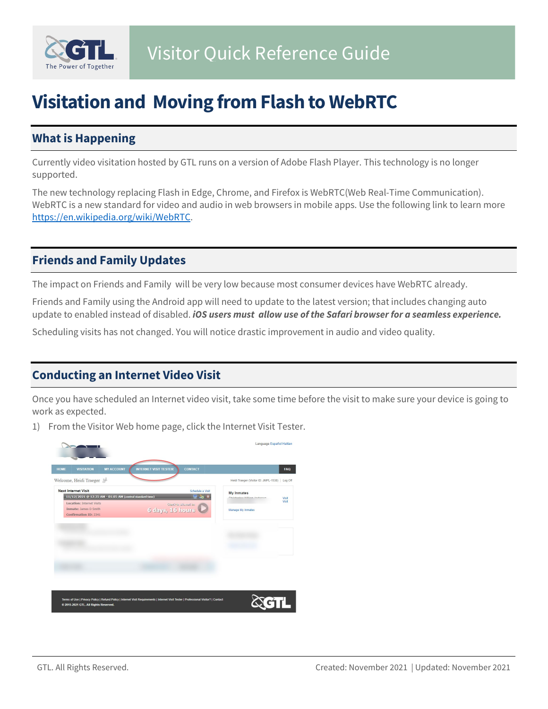

# **Visitation and Moving from Flash to WebRTC**

## **What is Happening**

Currently video visitation hosted by GTL runs on a version of Adobe Flash Player. This technology is no longer supported.

The new technology replacing Flash in Edge, Chrome, and Firefox is WebRTC(Web Real-Time Communication). WebRTC is a new standard for video and audio in web browsers in mobile apps. Use the following link to learn more [https://en.wikipedia.org/wiki/WebRTC.](https://en.wikipedia.org/wiki/WebRTC)

### **Friends and Family Updates**

The impact on Friends and Family will be very low because most consumer devices have WebRTC already.

Friends and Family using the Android app will need to update to the latest version; that includes changing auto update to enabled instead of disabled. *iOS users must allow use of the Safari browser for a seamless experience.*

Scheduling visits has not changed. You will notice drastic improvement in audio and video quality.

#### **Conducting an Internet Video Visit**

Once you have scheduled an Internet video visit, take some time before the visit to make sure your device is going to work as expected.

1) From the Visitor Web home page, click the Internet Visit Tester.

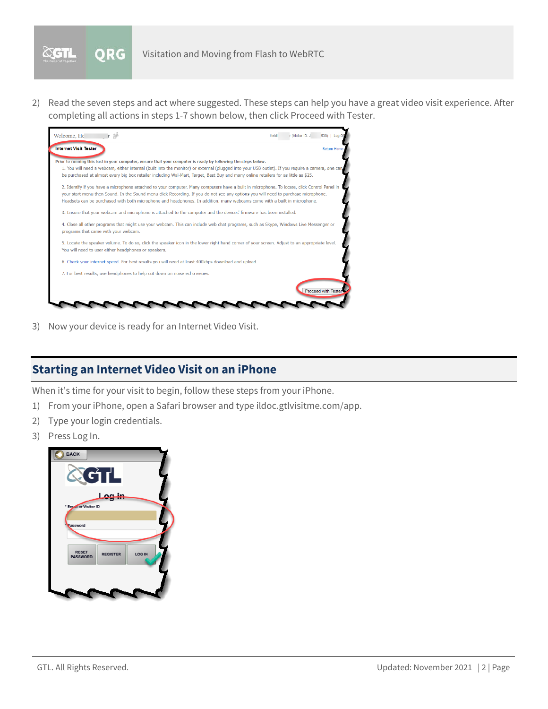

2) Read the seven steps and act where suggested. These steps can help you have a great video visit experience. After completing all actions in steps 1-7 shown below, then click Proceed with Tester.



3) Now your device is ready for an Internet Video Visit.

#### **Starting an Internet Video Visit on an iPhone**

When it's time for your visit to begin, follow these steps from your iPhone.

- 1) From your iPhone, open a Safari browser and type ildoc.gtlvisitme.com/app.
- 2) Type your login credentials.
- 3) Press Log In.

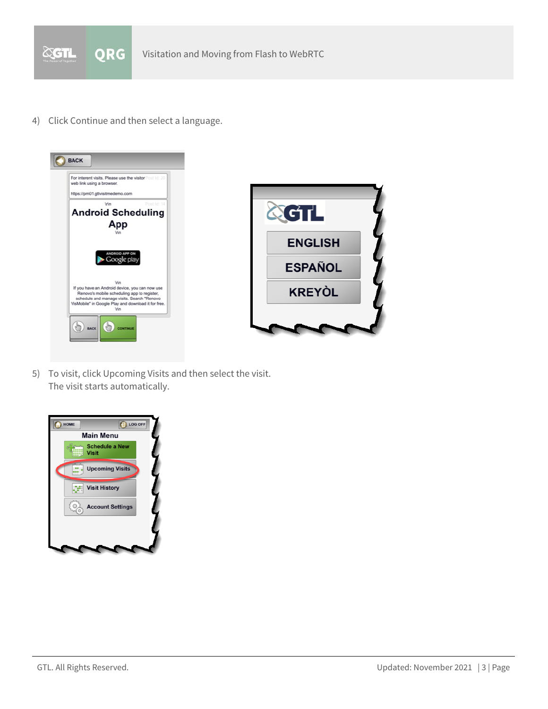

4) Click Continue and then select a language.



5) To visit, click Upcoming Visits and then select the visit. The visit starts automatically.